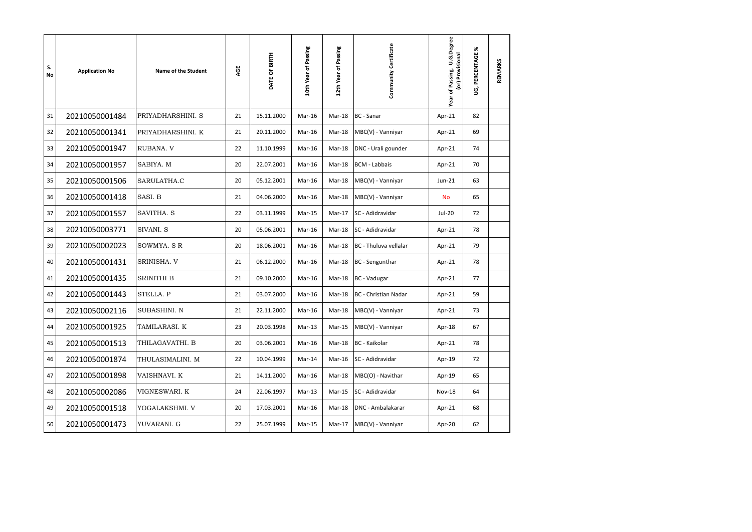| S.<br>No | <b>Application No</b> | Name of the Student | AGE | DATE OF BIRTH | Passing<br>10th Year of | Passing<br>Ⴆ<br>12th Year | Community Certificate       | U.G.Degree<br>(or) Provisional<br>of Passing,<br>Year | ℅<br>PERCENTAGE<br>ទ្វ | REMARKS |
|----------|-----------------------|---------------------|-----|---------------|-------------------------|---------------------------|-----------------------------|-------------------------------------------------------|------------------------|---------|
| 31       | 20210050001484        | PRIYADHARSHINI. S   | 21  | 15.11.2000    | Mar-16                  | Mar-18                    | <b>BC</b> - Sanar           | Apr-21                                                | 82                     |         |
| 32       | 20210050001341        | PRIYADHARSHINI. K   | 21  | 20.11.2000    | Mar-16                  | Mar-18                    | MBC(V) - Vanniyar           | Apr-21                                                | 69                     |         |
| 33       | 20210050001947        | RUBANA. V           | 22  | 11.10.1999    | Mar-16                  | Mar-18                    | DNC - Urali gounder         | Apr-21                                                | 74                     |         |
| 34       | 20210050001957        | SABIYA. M           | 20  | 22.07.2001    | Mar-16                  | Mar-18                    | <b>BCM - Labbais</b>        | Apr-21                                                | 70                     |         |
| 35       | 20210050001506        | SARULATHA.C         | 20  | 05.12.2001    | Mar-16                  | Mar-18                    | MBC(V) - Vanniyar           | Jun-21                                                | 63                     |         |
| 36       | 20210050001418        | SASI. B             | 21  | 04.06.2000    | Mar-16                  | Mar-18                    | MBC(V) - Vanniyar           | <b>No</b>                                             | 65                     |         |
| 37       | 20210050001557        | SAVITHA. S          | 22  | 03.11.1999    | Mar-15                  | Mar-17                    | SC - Adidravidar            | <b>Jul-20</b>                                         | 72                     |         |
| 38       | 20210050003771        | SIVANI. S           | 20  | 05.06.2001    | Mar-16                  | Mar-18                    | SC - Adidravidar            | Apr-21                                                | 78                     |         |
| 39       | 20210050002023        | SOWMYA. SR          | 20  | 18.06.2001    | Mar-16                  | Mar-18                    | BC - Thuluva vellalar       | Apr-21                                                | 79                     |         |
| 40       | 20210050001431        | SRINISHA. V         | 21  | 06.12.2000    | Mar-16                  | Mar-18                    | <b>BC</b> - Sengunthar      | Apr-21                                                | 78                     |         |
| 41       | 20210050001435        | <b>SRINITHI B</b>   | 21  | 09.10.2000    | Mar-16                  | Mar-18                    | <b>BC</b> - Vadugar         | Apr-21                                                | 77                     |         |
| 42       | 20210050001443        | STELLA. P           | 21  | 03.07.2000    | Mar-16                  | Mar-18                    | <b>BC</b> - Christian Nadar | Apr-21                                                | 59                     |         |
| 43       | 20210050002116        | SUBASHINI. N        | 21  | 22.11.2000    | Mar-16                  | Mar-18                    | MBC(V) - Vanniyar           | Apr-21                                                | 73                     |         |
| 44       | 20210050001925        | TAMILARASI. K       | 23  | 20.03.1998    | $Mar-13$                | Mar-15                    | MBC(V) - Vanniyar           | Apr-18                                                | 67                     |         |
| 45       | 20210050001513        | THILAGAVATHI. B     | 20  | 03.06.2001    | Mar-16                  | Mar-18                    | <b>BC</b> - Kaikolar        | Apr-21                                                | 78                     |         |
| 46       | 20210050001874        | THULASIMALINI. M    | 22  | 10.04.1999    | Mar-14                  | Mar-16                    | SC - Adidravidar            | Apr-19                                                | 72                     |         |
| 47       | 20210050001898        | VAISHNAVI. K        | 21  | 14.11.2000    | Mar-16                  | Mar-18                    | MBC(O) - Navithar           | Apr-19                                                | 65                     |         |
| 48       | 20210050002086        | VIGNESWARI. K       | 24  | 22.06.1997    | Mar-13                  | Mar-15                    | SC - Adidravidar            | <b>Nov-18</b>                                         | 64                     |         |
| 49       | 20210050001518        | YOGALAKSHMI. V      | 20  | 17.03.2001    | Mar-16                  | Mar-18                    | <b>DNC</b> - Ambalakarar    | Apr-21                                                | 68                     |         |
| 50       | 20210050001473        | YUVARANI. G         | 22  | 25.07.1999    | Mar-15                  | Mar-17                    | MBC(V) - Vanniyar           | Apr-20                                                | 62                     |         |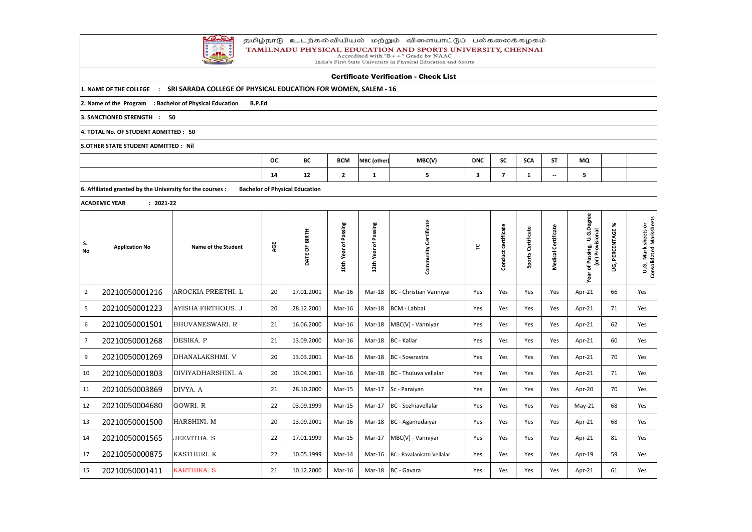

## தமிழ்நாடு உடற்கல்வியியல் மற்றும் விளையாட்டுப் பல்கலைக்கழகம் TAMILNADU PHYSICAL EDUCATION AND SPORTS UNIVERSITY, CHENNAI<br>Accredited with "B++" Grade by NAAC<br>India's First State University in Physical Education and Sports

|                 | <b>Certificate Verification - Check List</b>              |                                                                |           |                                       |                      |                      |                            |            |                         |                    |                          |                                                               |                           |                                                |
|-----------------|-----------------------------------------------------------|----------------------------------------------------------------|-----------|---------------------------------------|----------------------|----------------------|----------------------------|------------|-------------------------|--------------------|--------------------------|---------------------------------------------------------------|---------------------------|------------------------------------------------|
|                 | 1. NAME OF THE COLLEGE<br>$\mathbf{r}$                    | SRI SARADA COLLEGE OF PHYSICAL EDUCATION FOR WOMEN, SALEM - 16 |           |                                       |                      |                      |                            |            |                         |                    |                          |                                                               |                           |                                                |
|                 | 2. Name of the Program : Bachelor of Physical Education   | <b>B.P.Ed</b>                                                  |           |                                       |                      |                      |                            |            |                         |                    |                          |                                                               |                           |                                                |
|                 | 3. SANCTIONED STRENGTH :                                  | 50                                                             |           |                                       |                      |                      |                            |            |                         |                    |                          |                                                               |                           |                                                |
|                 | 4. TOTAL No. OF STUDENT ADMITTED : 50                     |                                                                |           |                                       |                      |                      |                            |            |                         |                    |                          |                                                               |                           |                                                |
|                 | <b>5.OTHER STATE STUDENT ADMITTED: Nil</b>                |                                                                |           |                                       |                      |                      |                            |            |                         |                    |                          |                                                               |                           |                                                |
|                 |                                                           |                                                                | <b>OC</b> | BC                                    | <b>BCM</b>           | MBC (other)          | MBC(V)                     | <b>DNC</b> | <b>SC</b>               | <b>SCA</b>         | <b>ST</b>                | MQ                                                            |                           |                                                |
|                 |                                                           |                                                                | 14        | 12                                    | $\overline{2}$       | 1                    | 5                          | 3          | $\overline{\mathbf{z}}$ | $\mathbf{1}$       | $\overline{\phantom{a}}$ | 5                                                             |                           |                                                |
|                 | 6. Affiliated granted by the University for the courses : |                                                                |           | <b>Bachelor of Physical Education</b> |                      |                      |                            |            |                         |                    |                          |                                                               |                           |                                                |
|                 | $: 2021 - 22$<br><b>ACADEMIC YEAR</b>                     |                                                                |           |                                       |                      |                      |                            |            |                         |                    |                          |                                                               |                           |                                                |
| S.<br><b>No</b> | <b>Application No</b>                                     | Name of the Student                                            | AGE       | DATE OF BIRTH                         | 10th Year of Passing | 12th Year of Passing | Community Certificate      | ۲          | Conduct certificate     | Sports Certificate | Medical Certificate      | U.G.Degree<br>Provisional<br>ssing,<br>ίος)<br>of Pas<br>Year | ৯<br>PERCENTAGE<br>ِ<br>و | U.G, Mark sheets or<br>Consolidated Marksheets |
| $\overline{2}$  | 20210050001216                                            | AROCKIA PREETHI. L                                             | 20        | 17.01.2001                            | Mar-16               | Mar-18               | BC - Christian Vanniyar    | Yes        | Yes                     | Yes                | Yes                      | Apr-21                                                        | 66                        | Yes                                            |
| $5\phantom{.}$  | 20210050001223                                            | <b>AYISHA FIRTHOUS. J</b>                                      | 20        | 28.12.2001                            | Mar-16               | Mar-18               | BCM - Labbai               | Yes        | Yes                     | Yes                | Yes                      | Apr-21                                                        | 71                        | Yes                                            |
| 6               | 20210050001501                                            | <b>BHUVANESWARI. R</b>                                         | 21        | 16.06.2000                            | Mar-16               | Mar-18               | MBC(V) - Vanniyar          | Yes        | Yes                     | Yes                | Yes                      | Apr-21                                                        | 62                        | Yes                                            |
| 7 <sup>7</sup>  | 20210050001268                                            | DESIKA. P                                                      | 21        | 13.09.2000                            | Mar-16               | Mar-18               | BC - Kallar                | Yes        | Yes                     | Yes                | Yes                      | Apr-21                                                        | 60                        | Yes                                            |
| 9               | 20210050001269                                            | DHANALAKSHMI. V                                                | 20        | 13.03.2001                            | Mar-16               | Mar-18               | BC - Sowrastra             | Yes        | Yes                     | Yes                | Yes                      | Apr-21                                                        | 70                        | Yes                                            |
| 10              | 20210050001803                                            | DIVIYADHARSHINI. A                                             | 20        | 10.04.2001                            | Mar-16               | Mar-18               | BC - Thuluva vellalar      | Yes        | Yes                     | Yes                | Yes                      | Apr-21                                                        | 71                        | Yes                                            |
| 11              | 20210050003869                                            | DIVYA. A                                                       | 21        | 28.10.2000                            | Mar-15               |                      | Mar-17 Sc - Paraiyan       | Yes        | Yes                     | Yes                | Yes                      | Apr-20                                                        | 70                        | Yes                                            |
| 12              | 20210050004680                                            | GOWRI. R                                                       | 22        | 03.09.1999                            | $Mar-15$             | Mar-17               | BC - Sozhiavellalar        | Yes        | Yes                     | Yes                | Yes                      | $May-21$                                                      | 68                        | Yes                                            |
| 13              | 20210050001500                                            | HARSHINI. M                                                    | 20        | 13.09.2001                            | Mar-16               | Mar-18               | BC - Agamudaiyar           | Yes        | Yes                     | Yes                | Yes                      | Apr-21                                                        | 68                        | Yes                                            |
| 14              | 20210050001565                                            | <b>JEEVITHA. S</b>                                             | 22        | 17.01.1999                            | Mar-15               | Mar-17               | MBC(V) - Vanniyar          | Yes        | Yes                     | Yes                | Yes                      | Apr-21                                                        | 81                        | Yes                                            |
| 17              | 20210050000875                                            | KASTHURI. K                                                    | 22        | 10.05.1999                            | Mar-14               | Mar-16               | BC - Pavalankatti Vellalar | Yes        | Yes                     | Yes                | Yes                      | Apr-19                                                        | 59                        | Yes                                            |
| 15              | 20210050001411                                            | <b>KARTHIKA. S</b>                                             | 21        | 10.12.2000                            | Mar-16               |                      | Mar-18 BC - Gavara         | Yes        | Yes                     | Yes                | Yes                      | Apr-21                                                        | 61                        | Yes                                            |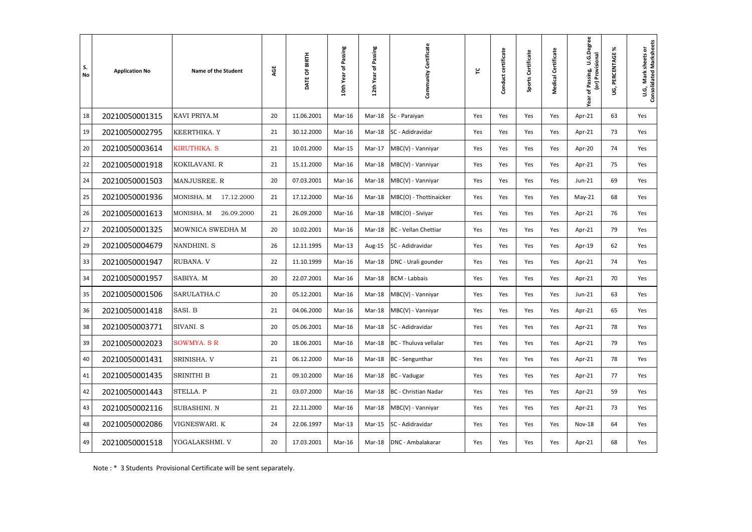| S.<br><b>No</b> | <b>Application No</b> | <b>Name of the Student</b> | AGE | DATE OF BIRTH | of Passing<br>10th Year | Passing<br>Ⴆ<br>12th Year | Community Certificate       | ဥ   | certificate<br>Conduct | Sports Certificate | Medical Certificate | U.G.Degree<br>or) Provisional<br>of Passing, | ℅<br>PERCENTAGE<br>ទ្វ | U.G, Mark sheets or<br>Consolidated Marksheets |
|-----------------|-----------------------|----------------------------|-----|---------------|-------------------------|---------------------------|-----------------------------|-----|------------------------|--------------------|---------------------|----------------------------------------------|------------------------|------------------------------------------------|
| 18              | 20210050001315        | KAVI PRIYA.M               | 20  | 11.06.2001    | Mar-16                  | Mar-18                    | Sc - Paraiyan               | Yes | Yes                    | Yes                | Yes                 | Apr-21                                       | 63                     | Yes                                            |
| 19              | 20210050002795        | KEERTHIKA. Y               | 21  | 30.12.2000    | Mar-16                  | Mar-18                    | SC - Adidravidar            | Yes | Yes                    | Yes                | Yes                 | Apr-21                                       | 73                     | Yes                                            |
| 20              | 20210050003614        | <b>KIRUTHIKA. S</b>        | 21  | 10.01.2000    | Mar-15                  | Mar-17                    | MBC(V) - Vanniyar           | Yes | Yes                    | Yes                | Yes                 | Apr-20                                       | 74                     | Yes                                            |
| 22              | 20210050001918        | KOKILAVANI. R              | 21  | 15.11.2000    | Mar-16                  | Mar-18                    | MBC(V) - Vanniyar           | Yes | Yes                    | Yes                | Yes                 | Apr-21                                       | 75                     | Yes                                            |
| 24              | 20210050001503        | MANJUSREE. R               | 20  | 07.03.2001    | Mar-16                  | Mar-18                    | MBC(V) - Vanniyar           | Yes | Yes                    | Yes                | Yes                 | Jun-21                                       | 69                     | Yes                                            |
| 25              | 20210050001936        | 17.12.2000<br>MONISHA. M   | 21  | 17.12.2000    | Mar-16                  | Mar-18                    | MBC(O) - Thottinaicker      | Yes | Yes                    | Yes                | Yes                 | $May-21$                                     | 68                     | Yes                                            |
| 26              | 20210050001613        | MONISHA. M<br>26.09.2000   | 21  | 26.09.2000    | Mar-16                  | Mar-18                    | MBC(O) - Siviyar            | Yes | Yes                    | Yes                | Yes                 | Apr-21                                       | 76                     | Yes                                            |
| 27              | 20210050001325        | MOWNICA SWEDHA M           | 20  | 10.02.2001    | Mar-16                  | Mar-18                    | <b>BC</b> - Vellan Chettiar | Yes | Yes                    | Yes                | Yes                 | Apr-21                                       | 79                     | Yes                                            |
| 29              | 20210050004679        | NANDHINI. S                | 26  | 12.11.1995    | $Mar-13$                | Aug-15                    | SC - Adidravidar            | Yes | Yes                    | Yes                | Yes                 | Apr-19                                       | 62                     | Yes                                            |
| 33              | 20210050001947        | RUBANA. V                  | 22  | 11.10.1999    | Mar-16                  | Mar-18                    | DNC - Urali gounder         | Yes | Yes                    | Yes                | Yes                 | Apr-21                                       | 74                     | Yes                                            |
| 34              | 20210050001957        | SABIYA. M                  | 20  | 22.07.2001    | Mar-16                  | Mar-18                    | <b>BCM - Labbais</b>        | Yes | Yes                    | Yes                | Yes                 | Apr-21                                       | 70                     | Yes                                            |
| 35              | 20210050001506        | SARULATHA.C                | 20  | 05.12.2001    | Mar-16                  | Mar-18                    | MBC(V) - Vanniyar           | Yes | Yes                    | Yes                | Yes                 | Jun-21                                       | 63                     | Yes                                            |
| 36              | 20210050001418        | SASI. B                    | 21  | 04.06.2000    | Mar-16                  | Mar-18                    | MBC(V) - Vanniyar           | Yes | Yes                    | Yes                | Yes                 | Apr-21                                       | 65                     | Yes                                            |
| 38              | 20210050003771        | SIVANI. S                  | 20  | 05.06.2001    | Mar-16                  | Mar-18                    | SC - Adidravidar            | Yes | Yes                    | Yes                | Yes                 | Apr-21                                       | 78                     | Yes                                            |
| 39              | 20210050002023        | <b>SOWMYA. S R</b>         | 20  | 18.06.2001    | Mar-16                  | Mar-18                    | BC - Thuluva vellalar       | Yes | Yes                    | Yes                | Yes                 | Apr-21                                       | 79                     | Yes                                            |
| 40              | 20210050001431        | <b>SRINISHA. V</b>         | 21  | 06.12.2000    | Mar-16                  |                           | Mar-18 BC - Sengunthar      | Yes | Yes                    | Yes                | Yes                 | Apr-21                                       | 78                     | Yes                                            |
| 41              | 20210050001435        | <b>SRINITHI B</b>          | 21  | 09.10.2000    | Mar-16                  | Mar-18                    | BC - Vadugar                | Yes | Yes                    | Yes                | Yes                 | Apr-21                                       | 77                     | Yes                                            |
| 42              | 20210050001443        | STELLA. P                  | 21  | 03.07.2000    | Mar-16                  | Mar-18                    | BC - Christian Nadar        | Yes | Yes                    | Yes                | Yes                 | Apr-21                                       | 59                     | Yes                                            |
| 43              | 20210050002116        | <b>SUBASHINI. N</b>        | 21  | 22.11.2000    | Mar-16                  | Mar-18                    | MBC(V) - Vanniyar           | Yes | Yes                    | Yes                | Yes                 | Apr-21                                       | 73                     | Yes                                            |
| 48              | 20210050002086        | VIGNESWARI. K              | 24  | 22.06.1997    | Mar-13                  | Mar-15                    | SC - Adidravidar            | Yes | Yes                    | Yes                | Yes                 | <b>Nov-18</b>                                | 64                     | Yes                                            |
| 49              | 20210050001518        | YOGALAKSHMI. V             | 20  | 17.03.2001    | Mar-16                  | Mar-18                    | DNC - Ambalakarar           | Yes | Yes                    | Yes                | Yes                 | Apr-21                                       | 68                     | Yes                                            |

Note : \* 3 Students Provisional Certificate will be sent separately.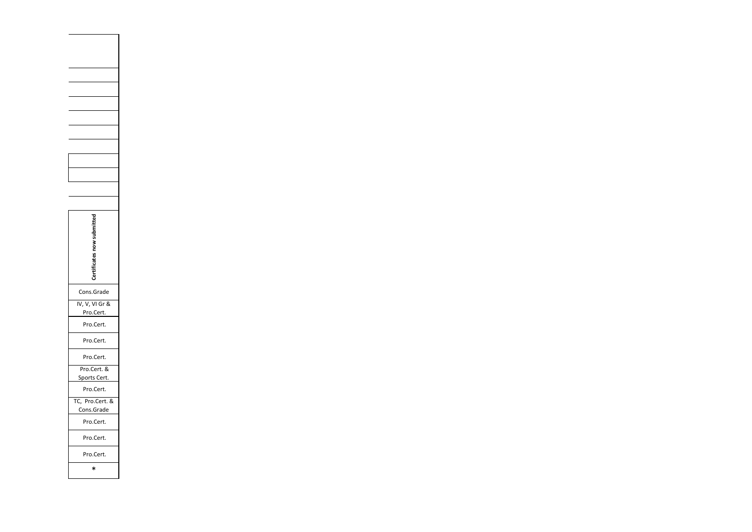| Cons.Grade                    |
|-------------------------------|
| IV, V, VI Gr &<br>Pro.Cert.   |
| Pro.Cert.                     |
| Pro.Cert.                     |
| Pro.Cert.                     |
| Pro.Cert. &<br>Sports Cert.   |
| Pro.Cert.                     |
| TC, Pro.Cert. &<br>Cons.Grade |
| Pro.Cert.                     |
| Pro.Cert.                     |
| Pro.Cert.                     |
| ∗                             |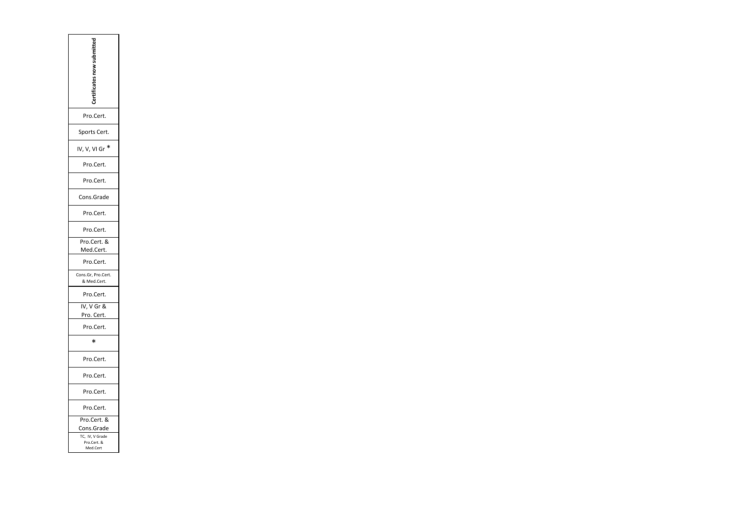| Pro.Cert.                                  |
|--------------------------------------------|
| Sports Cert.                               |
| IV, V, VI Gr                               |
| Pro.Cert.                                  |
| Pro.Cert.                                  |
| Cons.Grade                                 |
| Pro.Cert.                                  |
| Pro.Cert.                                  |
| Pro.Cert. &                                |
| <u> Med.Cert.</u>                          |
| Pro.Cert.                                  |
| Cons.Gr, Pro.Cert.<br>& Med.Cert.          |
| Pro.Cert.                                  |
| IV, V Gr &                                 |
| <u>Pro. Cert.</u>                          |
| Pro.Cert.                                  |
| ∗                                          |
| Pro.Cert.                                  |
| Pro.Cert.                                  |
| Pro.Cert.                                  |
| Pro.Cert.                                  |
| Pro.Cert. &<br>Cons.Grade                  |
| TC, IV, V Grade<br>Pro.Cert. &<br>Med.Cert |